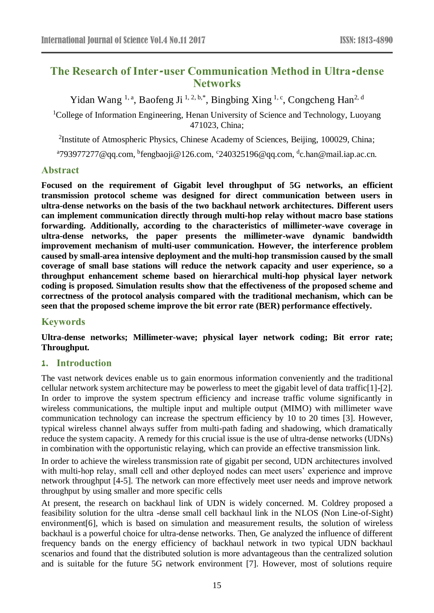# **The Research of Inter-user Communication Method in Ultra-dense Networks**

Yidan Wang <sup>1, a</sup>, Baofeng Ji <sup>1, 2, b,\*</sup>, Bingbing Xing <sup>1, c</sup>, Congcheng Han<sup>2, d</sup>

<sup>1</sup>College of Information Engineering, Henan University of Science and Technology, Luoyang 471023, China;

<sup>2</sup>Institute of Atmospheric Physics, Chinese Academy of Sciences, Beijing, 100029, China;

<sup>a</sup>793977277@qq.com, <sup>b</sup>fengbaoji@126.com, <sup>c</sup>240325196@qq.com, <sup>d</sup>c.han@mail.iap.ac.cn.

### **Abstract**

**Focused on the requirement of Gigabit level throughput of 5G networks, an efficient transmission protocol scheme was designed for direct communication between users in ultra-dense networks on the basis of the two backhaul network architectures. Different users can implement communication directly through multi-hop relay without macro base stations forwarding. Additionally, according to the characteristics of millimeter-wave coverage in ultra-dense networks, the paper presents the millimeter-wave dynamic bandwidth improvement mechanism of multi-user communication. However, the interference problem caused by small-area intensive deployment and the multi-hop transmission caused by the small coverage of small base stations will reduce the network capacity and user experience, so a throughput enhancement scheme based on hierarchical multi-hop physical layer network coding is proposed. Simulation results show that the effectiveness of the proposed scheme and correctness of the protocol analysis compared with the traditional mechanism, which can be seen that the proposed scheme improve the bit error rate (BER) performance effectively.**

### **Keywords**

**Ultra-dense networks; Millimeter-wave; physical layer network coding; Bit error rate; Throughput.**

### **1. Introduction**

The vast network devices enable us to gain enormous information conveniently and the traditional cellular network system architecture may be powerless to meet the gigabit level of data traffic[1]-[2]. In order to improve the system spectrum efficiency and increase traffic volume significantly in wireless communications, the multiple input and multiple output (MIMO) with millimeter wave communication technology can increase the spectrum efficiency by 10 to 20 times [3]. However, typical wireless channel always suffer from multi-path fading and shadowing, which dramatically reduce the system capacity. A remedy for this crucial issue is the use of ultra-dense networks (UDNs) in combination with the opportunistic relaying, which can provide an effective transmission link.

In order to achieve the wireless transmission rate of gigabit per second, UDN architectures involved with multi-hop relay, small cell and other deployed nodes can meet users' experience and improve network throughput [4-5]. The network can more effectively meet user needs and improve network throughput by using smaller and more specific cells

At present, the research on backhaul link of UDN is widely concerned. M. Coldrey proposed a feasibility solution for the ultra -dense small cell backhaul link in the NLOS (Non Line-of-Sight) environment[6], which is based on simulation and measurement results, the solution of wireless backhaul is a powerful choice for ultra-dense networks. Then, Ge analyzed the influence of different frequency bands on the energy efficiency of backhaul network in two typical UDN backhaul scenarios and found that the distributed solution is more advantageous than the centralized solution and is suitable for the future 5G network environment [7]. However, most of solutions require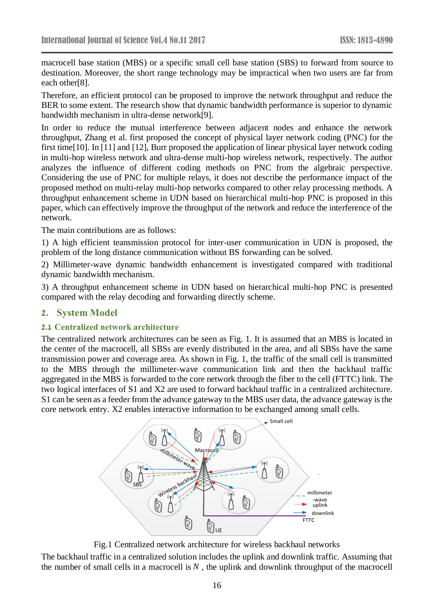macrocell base station (MBS) or a specific small cell base station (SBS) to forward from source to destination. Moreover, the short range technology may be impractical when two users are far from each other[8].

Therefore, an efficient protocol can be proposed to improve the network throughput and reduce the BER to some extent. The research show that dynamic bandwidth performance is superior to dynamic bandwidth mechanism in ultra-dense network[9].

In order to reduce the mutual interference between adjacent nodes and enhance the network throughput, Zhang et al. first proposed the concept of physical layer network coding (PNC) for the first time[10]. In [11] and [12], Burr proposed the application of linear physical layer network coding in multi-hop wireless network and ultra-dense multi-hop wireless network, respectively. The author analyzes the influence of different coding methods on PNC from the algebraic perspective. Considering the use of PNC for multiple relays, it does not describe the performance impact of the proposed method on multi-relay multi-hop networks compared to other relay processing methods. A throughput enhancement scheme in UDN based on hierarchical multi-hop PNC is proposed in this paper, which can effectively improve the throughput of the network and reduce the interference of the network.

The main contributions are as follows:

1) A high efficient teansmission protocol for inter-user communication in UDN is proposed, the problem of the long distance communication without BS forwarding can be solved.

2) Millimeter-wave dynamic bandwidth enhancement is investigated compared with traditional dynamic bandwidth mechanism.

3) A throughput enhancement scheme in UDN based on hierarchical multi-hop PNC is presented compared with the relay decoding and forwarding directly scheme.

#### **2. System Model**

#### **2.1 Centralized network architecture**

The centralized network architectures can be seen as Fig. 1. It is assumed that an MBS is located in the center of the macrocell, all SBSs are evenly distributed in the area, and all SBSs have the same transmission power and coverage area. As shown in Fig. 1, the traffic of the small cell is transmitted to the MBS through the millimeter-wave communication link and then the backhaul traffic aggregated in the MBS is forwarded to the core network through the fiber to the cell (FTTC) link. The two logical interfaces of S1 and X2 are used to forward backhaul traffic in a centralized architecture. S1 can be seen as a feeder from the advance gateway to the MBS user data, the advance gateway is the core network entry. X2 enables interactive information to be exchanged among small cells.



Fig.1 Centralized network architecture for wireless backhaul networks

The backhaul traffic in a centralized solution includes the uplink and downlink traffic. Assuming that the number of small cells in a macrocell is  $N$ , the uplink and downlink throughput of the macrocell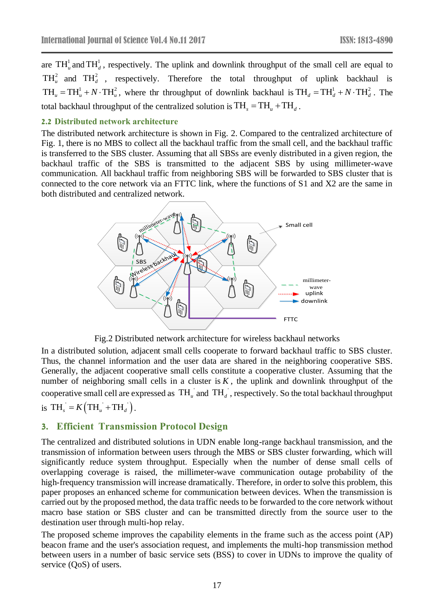are  $TH_u^1$  and  $TH_d^1$ , respectively. The uplink and downlink throughput of the small cell are equal to  $TH_u^2$  and  $TH_d^2$ , respectively. Therefore the total throughput of uplink backhaul is  $TH_u = TH_u^1 + N \cdot TH_u^2$ , where the throughput of downlink backhaul is  $TH_d = TH_d^1 + N \cdot TH_d^2$ . The total backhaul throughput of the centralized solution is  $\mathrm{TH}_{_S} = \mathrm{TH}_{_u} + \mathrm{TH}_{_d}$  .

#### **2.2 Distributed network architecture**

The distributed network architecture is shown in Fig. 2. Compared to the centralized architecture of Fig. 1, there is no MBS to collect all the backhaul traffic from the small cell, and the backhaul traffic is transferred to the SBS cluster. Assuming that all SBSs are evenly distributed in a given region, the backhaul traffic of the SBS is transmitted to the adjacent SBS by using millimeter-wave communication. All backhaul traffic from neighboring SBS will be forwarded to SBS cluster that is connected to the core network via an FTTC link, where the functions of S1 and X2 are the same in both distributed and centralized network.



Fig.2 Distributed network architecture for wireless backhaul networks

In a distributed solution, adjacent small cells cooperate to forward backhaul traffic to SBS cluster. Thus, the channel information and the user data are shared in the neighboring cooperative SBS. Generally, the adjacent cooperative small cells constitute a cooperative cluster. Assuming that the number of neighboring small cells in a cluster is  $K$ , the uplink and downlink throughput of the cooperative small cell are expressed as  $TH_u$  and  $TH_d$ , respectively. So the total backhaul throughput is  $TH_s = K\left(TH_u + TH_d\right)$ .

### **3. Efficient Transmission Protocol Design**

The centralized and distributed solutions in UDN enable long-range backhaul transmission, and the transmission of information between users through the MBS or SBS cluster forwarding, which will significantly reduce system throughput. Especially when the number of dense small cells of overlapping coverage is raised, the millimeter-wave communication outage probability of the high-frequency transmission will increase dramatically. Therefore, in order to solve this problem, this paper proposes an enhanced scheme for communication between devices. When the transmission is carried out by the proposed method, the data traffic needs to be forwarded to the core network without macro base station or SBS cluster and can be transmitted directly from the source user to the destination user through multi-hop relay.

The proposed scheme improves the capability elements in the frame such as the access point (AP) beacon frame and the user's association request, and implements the multi-hop transmission method between users in a number of basic service sets (BSS) to cover in UDNs to improve the quality of service (QoS) of users.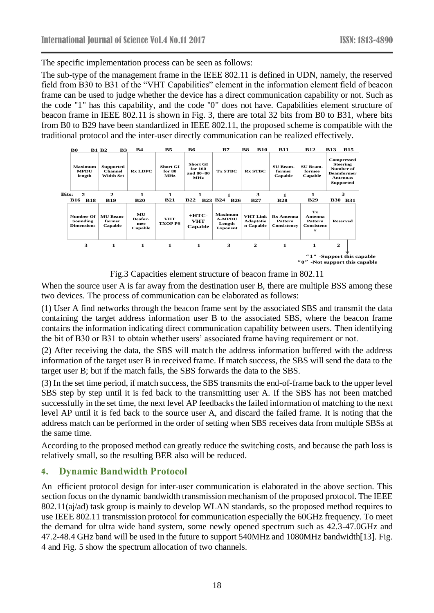The specific implementation process can be seen as follows:

The sub-type of the management frame in the IEEE 802.11 is defined in UDN, namely, the reserved field from B30 to B31 of the "VHT Capabilities" element in the information element field of beacon frame can be used to judge whether the device has a direct communication capability or not. Such as the code "1" has this capability, and the code "0" does not have. Capabilities element structure of beacon frame in IEEE 802.11 is shown in Fig. 3, there are total 32 bits from B0 to B31, where bits from B0 to B29 have been standardized in IEEE 802.11, the proposed scheme is compatible with the traditional protocol and the inter-user directly communication can be realized effectively.



Fig.3 Capacities element structure of beacon frame in 802.11

When the source user A is far away from the destination user B, there are multiple BSS among these two devices. The process of communication can be elaborated as follows:

(1) User A find networks through the beacon frame sent by the associated SBS and transmit the data containing the target address information user B to the associated SBS, where the beacon frame contains the information indicating direct communication capability between users. Then identifying the bit of B30 or B31 to obtain whether users' associated frame having requirement or not.

(2) After receiving the data, the SBS will match the address information buffered with the address information of the target user B in received frame. If match success, the SBS will send the data to the target user B; but if the match fails, the SBS forwards the data to the SBS.

(3) In the set time period, if match success, the SBS transmits the end-of-frame back to the upper level SBS step by step until it is fed back to the transmitting user A. If the SBS has not been matched successfully in the set time, the next level AP feedbacks the failed information of matching to the next level AP until it is fed back to the source user A, and discard the failed frame. It is noting that the address match can be performed in the order of setting when SBS receives data from multiple SBSs at the same time.

According to the proposed method can greatly reduce the switching costs, and because the path loss is relatively small, so the resulting BER also will be reduced.

# **4. Dynamic Bandwidth Protocol**

An efficient protocol design for inter-user communication is elaborated in the above section. This section focus on the dynamic bandwidth transmission mechanism of the proposed protocol. The IEEE 802.11(aj/ad) task group is mainly to develop WLAN standards, so the proposed method requires to use IEEE 802.11 transmission protocol for communication especially the 60GHz frequency. To meet the demand for ultra wide band system, some newly opened spectrum such as 42.3-47.0GHz and 47.2-48.4 GHz band will be used in the future to support 540MHz and 1080MHz bandwidth[13]. Fig. 4 and Fig. 5 show the spectrum allocation of two channels.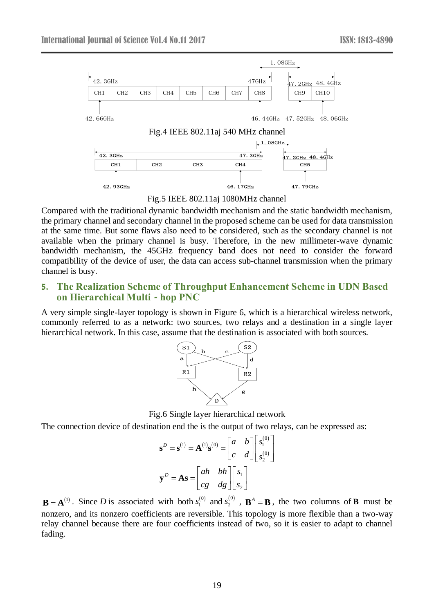

Fig.5 IEEE 802.11aj 1080MHz channel

Compared with the traditional dynamic bandwidth mechanism and the static bandwidth mechanism, the primary channel and secondary channel in the proposed scheme can be used for data transmission at the same time. But some flaws also need to be considered, such as the secondary channel is not available when the primary channel is busy. Therefore, in the new millimeter-wave dynamic bandwidth mechanism, the 45GHz frequency band does not need to consider the forward compatibility of the device of user, the data can access sub-channel transmission when the primary channel is busy.

### **5. The Realization Scheme of Throughput Enhancement Scheme in UDN Based on Hierarchical Multi - hop PNC**

A very simple single-layer topology is shown in Figure 6, which is a hierarchical wireless network, commonly referred to as a network: two sources, two relays and a destination in a single layer hierarchical network. In this case, assume that the destination is associated with both sources.



Fig.6 Single layer hierarchical network

The connection device of destination end the is the output of two relays, can be expressed as:

$$
\mathbf{s}^{D} = \mathbf{s}^{(1)} = \mathbf{A}^{(1)}\mathbf{s}^{(0)} = \begin{bmatrix} a & b \\ c & d \end{bmatrix} \begin{bmatrix} s_1^{(0)} \\ s_2^{(0)} \end{bmatrix}
$$

$$
\mathbf{y}^{D} = \mathbf{A}\mathbf{s} = \begin{bmatrix} ah & bh \\ cg & dg \end{bmatrix} \begin{bmatrix} s_1 \\ s_2 \end{bmatrix}
$$

 $\mathbf{B} = \mathbf{A}^{(1)}$ . Since *D* is associated with both  $s_1^{(0)}$  and  $s_2^{(0)}$ ,  $\mathbf{B}^A = \mathbf{B}$ , the two columns of **B** must be nonzero, and its nonzero coefficients are reversible. This topology is more flexible than a two-way relay channel because there are four coefficients instead of two, so it is easier to adapt to channel fading.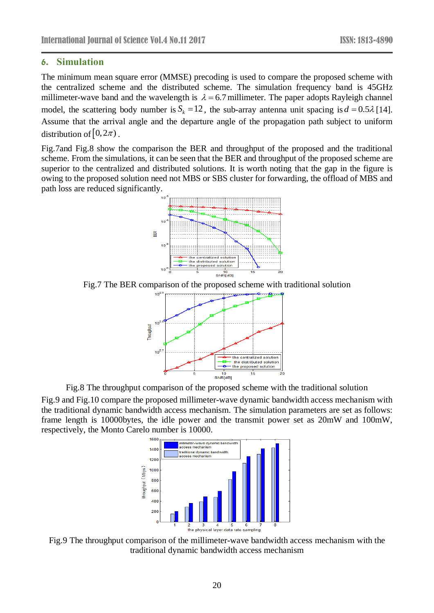### **6. Simulation**

The minimum mean square error (MMSE) precoding is used to compare the proposed scheme with the centralized scheme and the distributed scheme. The simulation frequency band is 45GHz millimeter-wave band and the wavelength is  $\lambda = 6.7$  millimeter. The paper adopts Rayleigh channel model, the scattering body number is  $S_k = 12$ , the sub-array antenna unit spacing is  $d = 0.5\lambda$  [14]. Assume that the arrival angle and the departure angle of the propagation path subject to uniform distribution of  $[0, 2\pi)$ .

Fig.7and Fig.8 show the comparison the BER and throughput of the proposed and the traditional scheme. From the simulations, it can be seen that the BER and throughput of the proposed scheme are superior to the centralized and distributed solutions. It is worth noting that the gap in the figure is owing to the proposed solution need not MBS or SBS cluster for forwarding, the offload of MBS and path loss are reduced significantly.



Fig.7 The BER comparison of the proposed scheme with traditional solution



Fig.8 The throughput comparison of the proposed scheme with the traditional solution

Fig.9 and Fig.10 compare the proposed millimeter-wave dynamic bandwidth access mechanism with the traditional dynamic bandwidth access mechanism. The simulation parameters are set as follows: frame length is 10000bytes, the idle power and the transmit power set as 20mW and 100mW, respectively, the Monto Carelo number is 10000.



Fig.9 The throughput comparison of the millimeter-wave bandwidth access mechanism with the traditional dynamic bandwidth access mechanism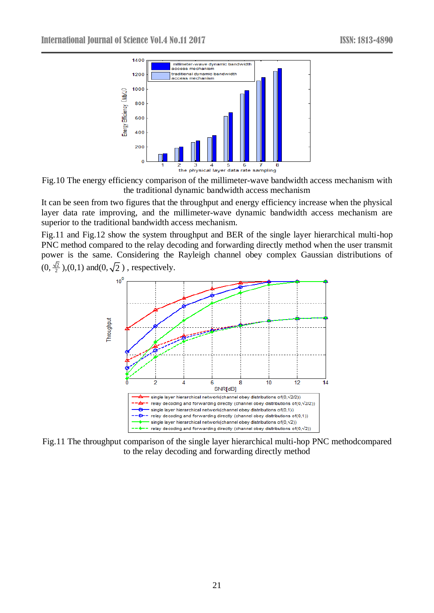

Fig.10 The energy efficiency comparison of the millimeter-wave bandwidth access mechanism with the traditional dynamic bandwidth access mechanism

It can be seen from two figures that the throughput and energy efficiency increase when the physical layer data rate improving, and the millimeter-wave dynamic bandwidth access mechanism are superior to the traditional bandwidth access mechanism.

Fig.11 and Fig.12 show the system throughput and BER of the single layer hierarchical multi-hop PNC method compared to the relay decoding and forwarding directly method when the user transmit power is the same. Considering the Rayleigh channel obey complex Gaussian distributions of  $(0, \frac{\sqrt{2}}{2})$  $\frac{p}{2}$ ),(0,1) and(0, $\sqrt{2}$ ), respectively.



Fig.11 The throughput comparison of the single layer hierarchical multi-hop PNC methodcompared to the relay decoding and forwarding directly method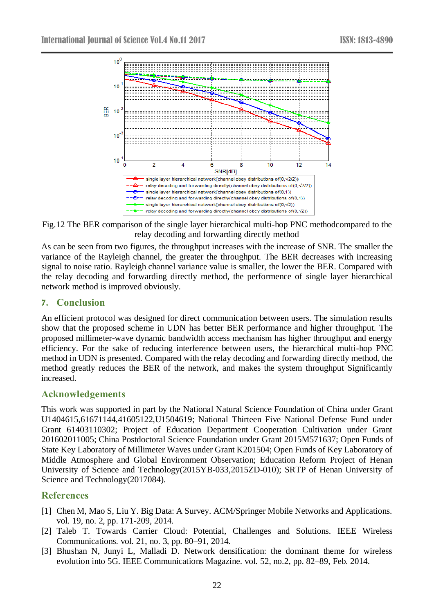

Fig.12 The BER comparison of the single layer hierarchical multi-hop PNC methodcompared to the relay decoding and forwarding directly method

As can be seen from two figures, the throughput increases with the increase of SNR. The smaller the variance of the Rayleigh channel, the greater the throughput. The BER decreases with increasing signal to noise ratio. Rayleigh channel variance value is smaller, the lower the BER. Compared with the relay decoding and forwarding directly method, the performence of single layer hierarchical network method is improved obviously.

### **7. Conclusion**

An efficient protocol was designed for direct communication between users. The simulation results show that the proposed scheme in UDN has better BER performance and higher throughput. The proposed millimeter-wave dynamic bandwidth access mechanism has higher throughput and energy efficiency. For the sake of reducing interference between users, the hierarchical multi-hop PNC method in UDN is presented. Compared with the relay decoding and forwarding directly method, the method greatly reduces the BER of the network, and makes the system throughput Significantly increased.

### **Acknowledgements**

This work was supported in part by the National Natural Science Foundation of China under Grant U1404615,61671144,41605122,U1504619; National Thirteen Five National Defense Fund under Grant 61403110302; Project of Education Department Cooperation Cultivation under Grant 201602011005; China Postdoctoral Science Foundation under Grant 2015M571637; Open Funds of State Key Laboratory of Millimeter Waves under Grant K201504; Open Funds of Key Laboratory of Middle Atmosphere and Global Environment Observation; Education Reform Project of Henan University of Science and Technology(2015YB-033,2015ZD-010); SRTP of Henan University of Science and Technology(2017084).

# **References**

- [1] Chen M, Mao S, Liu Y. Big Data: A Survey. ACM/Springer Mobile Networks and Applications. vol. 19, no. 2, pp. 171-209, 2014.
- [2] Taleb T. Towards Carrier Cloud: Potential, Challenges and Solutions. IEEE Wireless Communications. vol. 21, no. 3, pp. 80–91, 2014.
- [3] Bhushan N, Junyi L, Malladi D. Network densification: the dominant theme for wireless evolution into 5G. IEEE Communications Magazine. vol. 52, no.2, pp. 82–89, Feb. 2014.